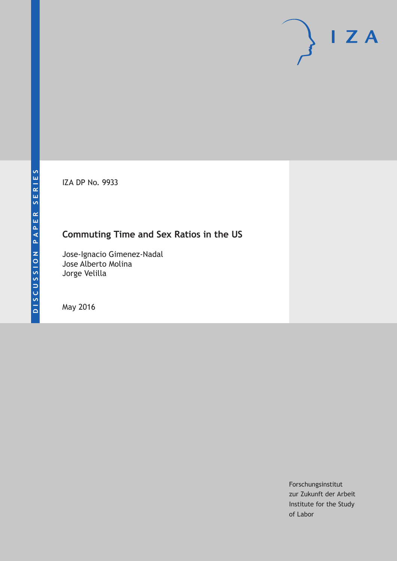IZA DP No. 9933

# **Commuting Time and Sex Ratios in the US**

Jose-Ignacio Gimenez-Nadal Jose Alberto Molina Jorge Velilla

May 2016

Forschungsinstitut zur Zukunft der Arbeit Institute for the Study of Labor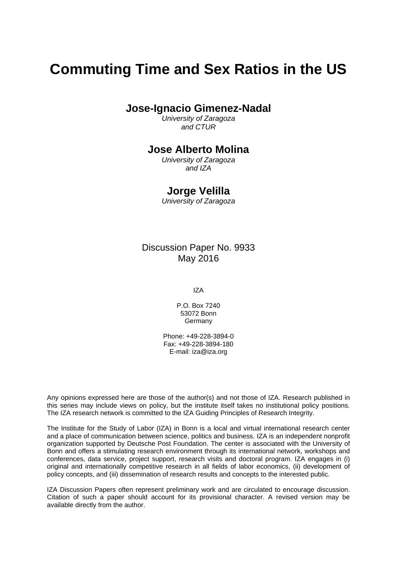# **Commuting Time and Sex Ratios in the US**

**Jose-Ignacio Gimenez-Nadal** 

*University of Zaragoza and CTUR* 

### **Jose Alberto Molina**

*University of Zaragoza and IZA* 

### **Jorge Velilla**

*University of Zaragoza*

Discussion Paper No. 9933 May 2016

IZA

P.O. Box 7240 53072 Bonn Germany

Phone: +49-228-3894-0 Fax: +49-228-3894-180 E-mail: iza@iza.org

Any opinions expressed here are those of the author(s) and not those of IZA. Research published in this series may include views on policy, but the institute itself takes no institutional policy positions. The IZA research network is committed to the IZA Guiding Principles of Research Integrity.

The Institute for the Study of Labor (IZA) in Bonn is a local and virtual international research center and a place of communication between science, politics and business. IZA is an independent nonprofit organization supported by Deutsche Post Foundation. The center is associated with the University of Bonn and offers a stimulating research environment through its international network, workshops and conferences, data service, project support, research visits and doctoral program. IZA engages in (i) original and internationally competitive research in all fields of labor economics, (ii) development of policy concepts, and (iii) dissemination of research results and concepts to the interested public.

IZA Discussion Papers often represent preliminary work and are circulated to encourage discussion. Citation of such a paper should account for its provisional character. A revised version may be available directly from the author.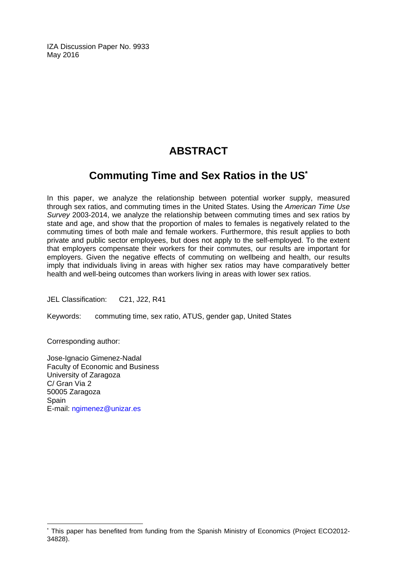IZA Discussion Paper No. 9933 May 2016

# **ABSTRACT**

# **Commuting Time and Sex Ratios in the US\***

In this paper, we analyze the relationship between potential worker supply, measured through sex ratios, and commuting times in the United States. Using the *American Time Use Survey* 2003-2014, we analyze the relationship between commuting times and sex ratios by state and age, and show that the proportion of males to females is negatively related to the commuting times of both male and female workers. Furthermore, this result applies to both private and public sector employees, but does not apply to the self-employed. To the extent that employers compensate their workers for their commutes, our results are important for employers. Given the negative effects of commuting on wellbeing and health, our results imply that individuals living in areas with higher sex ratios may have comparatively better health and well-being outcomes than workers living in areas with lower sex ratios.

JEL Classification: C21, J22, R41

Keywords: commuting time, sex ratio, ATUS, gender gap, United States

Corresponding author:

 $\overline{a}$ 

Jose-Ignacio Gimenez-Nadal Faculty of Economic and Business University of Zaragoza C/ Gran Via 2 50005 Zaragoza **Spain** E-mail: ngimenez@unizar.es

<sup>\*</sup> This paper has benefited from funding from the Spanish Ministry of Economics (Project ECO2012- 34828).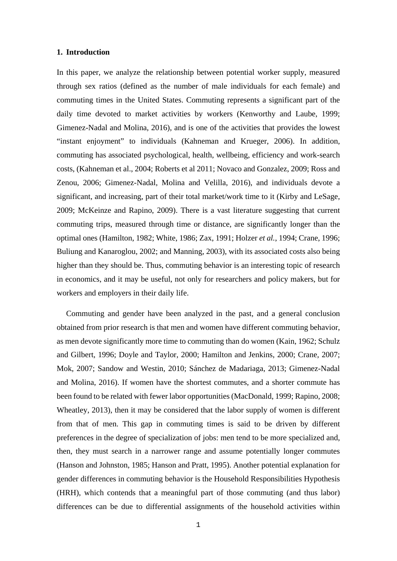#### **1. Introduction**

In this paper, we analyze the relationship between potential worker supply, measured through sex ratios (defined as the number of male individuals for each female) and commuting times in the United States. Commuting represents a significant part of the daily time devoted to market activities by workers (Kenworthy and Laube, 1999; Gimenez-Nadal and Molina, 2016), and is one of the activities that provides the lowest "instant enjoyment" to individuals (Kahneman and Krueger, 2006). In addition, commuting has associated psychological, health, wellbeing, efficiency and work-search costs, (Kahneman et al., 2004; Roberts et al 2011; Novaco and Gonzalez, 2009; Ross and Zenou, 2006; Gimenez-Nadal, Molina and Velilla, 2016), and individuals devote a significant, and increasing, part of their total market/work time to it (Kirby and LeSage, 2009; McKeinze and Rapino, 2009). There is a vast literature suggesting that current commuting trips, measured through time or distance, are significantly longer than the optimal ones (Hamilton, 1982; White, 1986; Zax, 1991; Holzer *et al.*, 1994; Crane, 1996; Buliung and Kanaroglou, 2002; and Manning, 2003), with its associated costs also being higher than they should be. Thus, commuting behavior is an interesting topic of research in economics, and it may be useful, not only for researchers and policy makers, but for workers and employers in their daily life.

Commuting and gender have been analyzed in the past, and a general conclusion obtained from prior research is that men and women have different commuting behavior, as men devote significantly more time to commuting than do women (Kain, 1962; Schulz and Gilbert, 1996; Doyle and Taylor, 2000; Hamilton and Jenkins, 2000; Crane, 2007; Mok, 2007; Sandow and Westin, 2010; Sánchez de Madariaga, 2013; Gimenez-Nadal and Molina, 2016). If women have the shortest commutes, and a shorter commute has been found to be related with fewer labor opportunities (MacDonald, 1999; Rapino, 2008; Wheatley, 2013), then it may be considered that the labor supply of women is different from that of men. This gap in commuting times is said to be driven by different preferences in the degree of specialization of jobs: men tend to be more specialized and, then, they must search in a narrower range and assume potentially longer commutes (Hanson and Johnston, 1985; Hanson and Pratt, 1995). Another potential explanation for gender differences in commuting behavior is the Household Responsibilities Hypothesis (HRH), which contends that a meaningful part of those commuting (and thus labor) differences can be due to differential assignments of the household activities within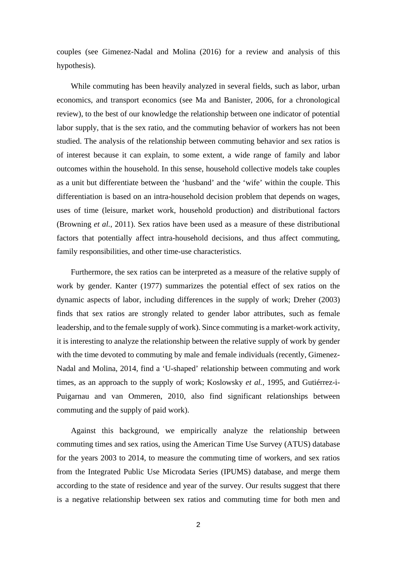couples (see Gimenez-Nadal and Molina (2016) for a review and analysis of this hypothesis).

While commuting has been heavily analyzed in several fields, such as labor, urban economics, and transport economics (see Ma and Banister, 2006, for a chronological review), to the best of our knowledge the relationship between one indicator of potential labor supply, that is the sex ratio, and the commuting behavior of workers has not been studied. The analysis of the relationship between commuting behavior and sex ratios is of interest because it can explain, to some extent, a wide range of family and labor outcomes within the household. In this sense, household collective models take couples as a unit but differentiate between the 'husband' and the 'wife' within the couple. This differentiation is based on an intra-household decision problem that depends on wages, uses of time (leisure, market work, household production) and distributional factors (Browning *et al.*, 2011). Sex ratios have been used as a measure of these distributional factors that potentially affect intra-household decisions, and thus affect commuting, family responsibilities, and other time-use characteristics.

Furthermore, the sex ratios can be interpreted as a measure of the relative supply of work by gender. Kanter (1977) summarizes the potential effect of sex ratios on the dynamic aspects of labor, including differences in the supply of work; Dreher (2003) finds that sex ratios are strongly related to gender labor attributes, such as female leadership, and to the female supply of work). Since commuting is a market-work activity, it is interesting to analyze the relationship between the relative supply of work by gender with the time devoted to commuting by male and female individuals (recently, Gimenez-Nadal and Molina, 2014, find a 'U-shaped' relationship between commuting and work times, as an approach to the supply of work; Koslowsky *et al.*, 1995, and Gutiérrez-i-Puigarnau and van Ommeren, 2010, also find significant relationships between commuting and the supply of paid work).

Against this background, we empirically analyze the relationship between commuting times and sex ratios, using the American Time Use Survey (ATUS) database for the years 2003 to 2014, to measure the commuting time of workers, and sex ratios from the Integrated Public Use Microdata Series (IPUMS) database, and merge them according to the state of residence and year of the survey. Our results suggest that there is a negative relationship between sex ratios and commuting time for both men and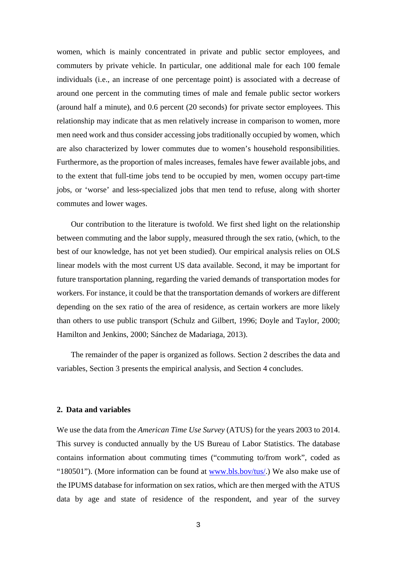women, which is mainly concentrated in private and public sector employees, and commuters by private vehicle. In particular, one additional male for each 100 female individuals (i.e., an increase of one percentage point) is associated with a decrease of around one percent in the commuting times of male and female public sector workers (around half a minute), and 0.6 percent (20 seconds) for private sector employees. This relationship may indicate that as men relatively increase in comparison to women, more men need work and thus consider accessing jobs traditionally occupied by women, which are also characterized by lower commutes due to women's household responsibilities. Furthermore, as the proportion of males increases, females have fewer available jobs, and to the extent that full-time jobs tend to be occupied by men, women occupy part-time jobs, or 'worse' and less-specialized jobs that men tend to refuse, along with shorter commutes and lower wages.

Our contribution to the literature is twofold. We first shed light on the relationship between commuting and the labor supply, measured through the sex ratio, (which, to the best of our knowledge, has not yet been studied). Our empirical analysis relies on OLS linear models with the most current US data available. Second, it may be important for future transportation planning, regarding the varied demands of transportation modes for workers. For instance, it could be that the transportation demands of workers are different depending on the sex ratio of the area of residence, as certain workers are more likely than others to use public transport (Schulz and Gilbert, 1996; Doyle and Taylor, 2000; Hamilton and Jenkins, 2000; Sánchez de Madariaga, 2013).

The remainder of the paper is organized as follows. Section 2 describes the data and variables, Section 3 presents the empirical analysis, and Section 4 concludes.

#### **2. Data and variables**

We use the data from the *American Time Use Survey* (ATUS) for the years 2003 to 2014. This survey is conducted annually by the US Bureau of Labor Statistics. The database contains information about commuting times ("commuting to/from work", coded as "180501"). (More information can be found at www.bls.bov/tus/.) We also make use of the IPUMS database for information on sex ratios, which are then merged with the ATUS data by age and state of residence of the respondent, and year of the survey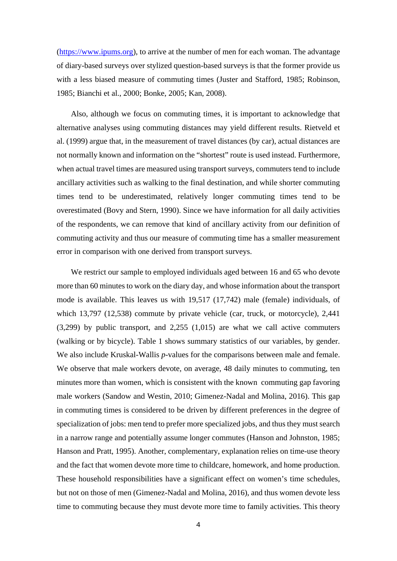(https://www.ipums.org), to arrive at the number of men for each woman. The advantage of diary-based surveys over stylized question-based surveys is that the former provide us with a less biased measure of commuting times (Juster and Stafford, 1985; Robinson, 1985; Bianchi et al., 2000; Bonke, 2005; Kan, 2008).

Also, although we focus on commuting times, it is important to acknowledge that alternative analyses using commuting distances may yield different results. Rietveld et al. (1999) argue that, in the measurement of travel distances (by car), actual distances are not normally known and information on the "shortest" route is used instead. Furthermore, when actual travel times are measured using transport surveys, commuters tend to include ancillary activities such as walking to the final destination, and while shorter commuting times tend to be underestimated, relatively longer commuting times tend to be overestimated (Bovy and Stern, 1990). Since we have information for all daily activities of the respondents, we can remove that kind of ancillary activity from our definition of commuting activity and thus our measure of commuting time has a smaller measurement error in comparison with one derived from transport surveys.

We restrict our sample to employed individuals aged between 16 and 65 who devote more than 60 minutes to work on the diary day, and whose information about the transport mode is available. This leaves us with 19,517 (17,742) male (female) individuals, of which 13,797 (12,538) commute by private vehicle (car, truck, or motorcycle), 2,441 (3,299) by public transport, and 2,255 (1,015) are what we call active commuters (walking or by bicycle). Table 1 shows summary statistics of our variables, by gender. We also include Kruskal-Wallis *p*-values for the comparisons between male and female. We observe that male workers devote, on average, 48 daily minutes to commuting, ten minutes more than women, which is consistent with the known commuting gap favoring male workers (Sandow and Westin, 2010; Gimenez-Nadal and Molina, 2016). This gap in commuting times is considered to be driven by different preferences in the degree of specialization of jobs: men tend to prefer more specialized jobs, and thus they must search in a narrow range and potentially assume longer commutes (Hanson and Johnston, 1985; Hanson and Pratt, 1995). Another, complementary, explanation relies on time-use theory and the fact that women devote more time to childcare, homework, and home production. These household responsibilities have a significant effect on women's time schedules, but not on those of men (Gimenez-Nadal and Molina, 2016), and thus women devote less time to commuting because they must devote more time to family activities. This theory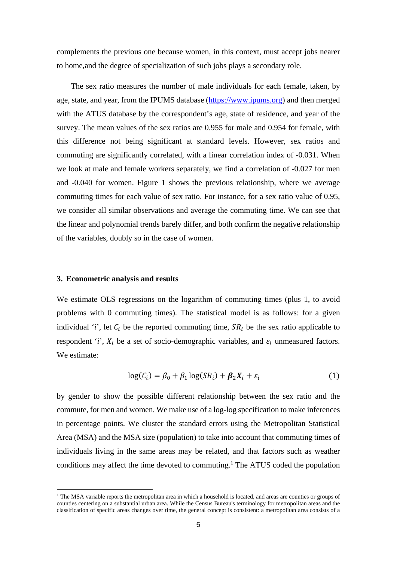complements the previous one because women, in this context, must accept jobs nearer to home,and the degree of specialization of such jobs plays a secondary role.

The sex ratio measures the number of male individuals for each female, taken, by age, state, and year, from the IPUMS database (https://www.ipums.org) and then merged with the ATUS database by the correspondent's age, state of residence, and year of the survey. The mean values of the sex ratios are 0.955 for male and 0.954 for female, with this difference not being significant at standard levels. However, sex ratios and commuting are significantly correlated, with a linear correlation index of -0.031. When we look at male and female workers separately, we find a correlation of -0.027 for men and -0.040 for women. Figure 1 shows the previous relationship, where we average commuting times for each value of sex ratio. For instance, for a sex ratio value of 0.95, we consider all similar observations and average the commuting time. We can see that the linear and polynomial trends barely differ, and both confirm the negative relationship of the variables, doubly so in the case of women.

#### **3. Econometric analysis and results**

 $\equiv$ 

We estimate OLS regressions on the logarithm of commuting times (plus 1, to avoid problems with 0 commuting times). The statistical model is as follows: for a given individual '*i*', let  $C_i$  be the reported commuting time,  $SR_i$  be the sex ratio applicable to respondent '*i*',  $X_i$  be a set of socio-demographic variables, and  $\varepsilon_i$  unmeasured factors. We estimate:

$$
\log(C_i) = \beta_0 + \beta_1 \log(SR_i) + \beta_2 X_i + \varepsilon_i \tag{1}
$$

by gender to show the possible different relationship between the sex ratio and the commute, for men and women. We make use of a log-log specification to make inferences in percentage points. We cluster the standard errors using the Metropolitan Statistical Area (MSA) and the MSA size (population) to take into account that commuting times of individuals living in the same areas may be related, and that factors such as weather conditions may affect the time devoted to commuting.<sup>1</sup> The ATUS coded the population

<sup>&</sup>lt;sup>1</sup> The MSA variable reports the metropolitan area in which a household is located, and areas are counties or groups of counties centering on a substantial urban area. While the Census Bureau's terminology for metropolitan areas and the classification of specific areas changes over time, the general concept is consistent: a metropolitan area consists of a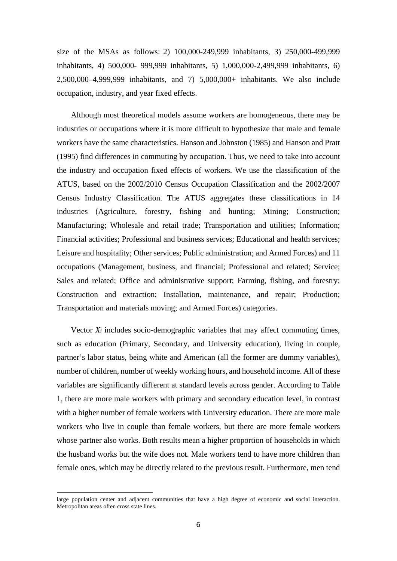size of the MSAs as follows: 2) 100,000-249,999 inhabitants, 3) 250,000-499,999 inhabitants, 4) 500,000- 999,999 inhabitants, 5) 1,000,000-2,499,999 inhabitants, 6) 2,500,000–4,999,999 inhabitants, and 7) 5,000,000+ inhabitants. We also include occupation, industry, and year fixed effects.

Although most theoretical models assume workers are homogeneous, there may be industries or occupations where it is more difficult to hypothesize that male and female workers have the same characteristics. Hanson and Johnston (1985) and Hanson and Pratt (1995) find differences in commuting by occupation. Thus, we need to take into account the industry and occupation fixed effects of workers. We use the classification of the ATUS, based on the 2002/2010 Census Occupation Classification and the 2002/2007 Census Industry Classification. The ATUS aggregates these classifications in 14 industries (Agriculture, forestry, fishing and hunting; Mining; Construction; Manufacturing; Wholesale and retail trade; Transportation and utilities; Information; Financial activities; Professional and business services; Educational and health services; Leisure and hospitality; Other services; Public administration; and Armed Forces) and 11 occupations (Management, business, and financial; Professional and related; Service; Sales and related; Office and administrative support; Farming, fishing, and forestry; Construction and extraction; Installation, maintenance, and repair; Production; Transportation and materials moving; and Armed Forces) categories.

Vector *Xi* includes socio-demographic variables that may affect commuting times, such as education (Primary, Secondary, and University education), living in couple, partner's labor status, being white and American (all the former are dummy variables), number of children, number of weekly working hours, and household income. All of these variables are significantly different at standard levels across gender. According to Table 1, there are more male workers with primary and secondary education level, in contrast with a higher number of female workers with University education. There are more male workers who live in couple than female workers, but there are more female workers whose partner also works. Both results mean a higher proportion of households in which the husband works but the wife does not. Male workers tend to have more children than female ones, which may be directly related to the previous result. Furthermore, men tend

 $\equiv$ 

large population center and adjacent communities that have a high degree of economic and social interaction. Metropolitan areas often cross state lines.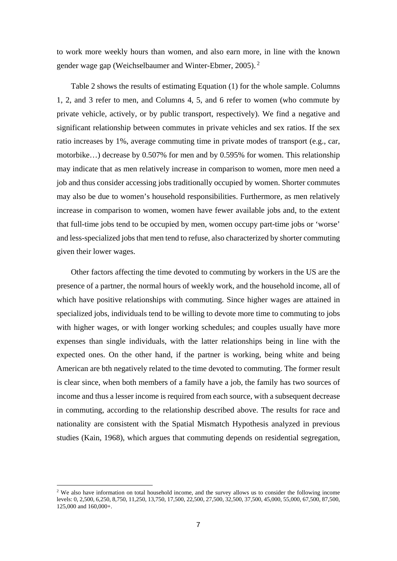to work more weekly hours than women, and also earn more, in line with the known gender wage gap (Weichselbaumer and Winter-Ebmer, 2005). 2

Table 2 shows the results of estimating Equation (1) for the whole sample. Columns 1, 2, and 3 refer to men, and Columns 4, 5, and 6 refer to women (who commute by private vehicle, actively, or by public transport, respectively). We find a negative and significant relationship between commutes in private vehicles and sex ratios. If the sex ratio increases by 1%, average commuting time in private modes of transport (e.g., car, motorbike…) decrease by 0.507% for men and by 0.595% for women. This relationship may indicate that as men relatively increase in comparison to women, more men need a job and thus consider accessing jobs traditionally occupied by women. Shorter commutes may also be due to women's household responsibilities. Furthermore, as men relatively increase in comparison to women, women have fewer available jobs and, to the extent that full-time jobs tend to be occupied by men, women occupy part-time jobs or 'worse' and less-specialized jobs that men tend to refuse, also characterized by shorter commuting given their lower wages.

Other factors affecting the time devoted to commuting by workers in the US are the presence of a partner, the normal hours of weekly work, and the household income, all of which have positive relationships with commuting. Since higher wages are attained in specialized jobs, individuals tend to be willing to devote more time to commuting to jobs with higher wages, or with longer working schedules; and couples usually have more expenses than single individuals, with the latter relationships being in line with the expected ones. On the other hand, if the partner is working, being white and being American are bth negatively related to the time devoted to commuting. The former result is clear since, when both members of a family have a job, the family has two sources of income and thus a lesser income is required from each source, with a subsequent decrease in commuting, according to the relationship described above. The results for race and nationality are consistent with the Spatial Mismatch Hypothesis analyzed in previous studies (Kain, 1968), which argues that commuting depends on residential segregation,

 $\equiv$ 

 $2$  We also have information on total household income, and the survey allows us to consider the following income levels: 0, 2,500, 6,250, 8,750, 11,250, 13,750, 17,500, 22,500, 27,500, 32,500, 37,500, 45,000, 55,000, 67,500, 87,500, 125,000 and 160,000+.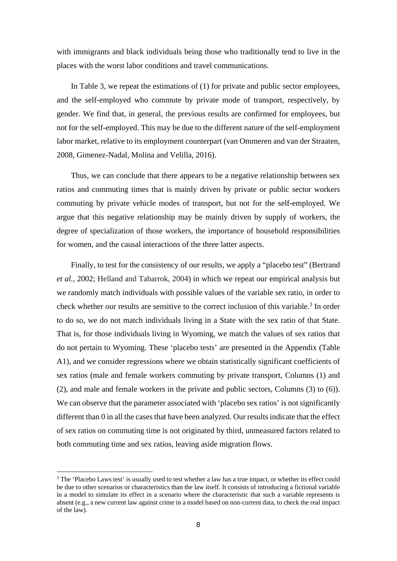with immigrants and black individuals being those who traditionally tend to live in the places with the worst labor conditions and travel communications.

In Table 3, we repeat the estimations of (1) for private and public sector employees, and the self-employed who commute by private mode of transport, respectively, by gender. We find that, in general, the previous results are confirmed for employees, but not for the self-employed. This may be due to the different nature of the self-employment labor market, relative to its employment counterpart (van Ommeren and van der Straaten, 2008, Gimenez-Nadal, Molina and Velilla, 2016).

Thus, we can conclude that there appears to be a negative relationship between sex ratios and commuting times that is mainly driven by private or public sector workers commuting by private vehicle modes of transport, but not for the self-employed. We argue that this negative relationship may be mainly driven by supply of workers, the degree of specialization of those workers, the importance of household responsibilities for women, and the causal interactions of the three latter aspects.

Finally, to test for the consistency of our results, we apply a "placebo test" (Bertrand *et al.*, 2002; Helland and Tabarrok, 2004) in which we repeat our empirical analysis but we randomly match individuals with possible values of the variable sex ratio, in order to check whether our results are sensitive to the correct inclusion of this variable.<sup>3</sup> In order to do so, we do not match individuals living in a State with the sex ratio of that State. That is, for those individuals living in Wyoming, we match the values of sex ratios that do not pertain to Wyoming. These 'placebo tests' are presented in the Appendix (Table A1), and we consider regressions where we obtain statistically significant coefficients of sex ratios (male and female workers commuting by private transport, Columns (1) and (2), and male and female workers in the private and public sectors, Columns (3) to (6)). We can observe that the parameter associated with 'placebo sex ratios' is not significantly different than 0 in all the cases that have been analyzed. Our results indicate that the effect of sex ratios on commuting time is not originated by third, unmeasured factors related to both commuting time and sex ratios, leaving aside migration flows.

 $\equiv$ 

<sup>&</sup>lt;sup>3</sup> The 'Placebo Laws test' is usually used to test whether a law has a true impact, or whether its effect could be due to other scenarios or characteristics than the law itself. It consists of introducing a fictional variable in a model to simulate its effect in a scenario where the characteristic that such a variable represents is absent (e.g., a new current law against crime in a model based on non-current data, to check the real impact of the law).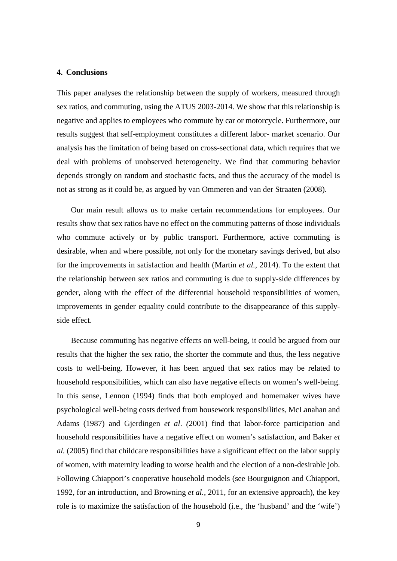#### **4. Conclusions**

This paper analyses the relationship between the supply of workers, measured through sex ratios, and commuting, using the ATUS 2003-2014. We show that this relationship is negative and applies to employees who commute by car or motorcycle. Furthermore, our results suggest that self-employment constitutes a different labor- market scenario. Our analysis has the limitation of being based on cross-sectional data, which requires that we deal with problems of unobserved heterogeneity. We find that commuting behavior depends strongly on random and stochastic facts, and thus the accuracy of the model is not as strong as it could be, as argued by van Ommeren and van der Straaten (2008).

Our main result allows us to make certain recommendations for employees. Our results show that sex ratios have no effect on the commuting patterns of those individuals who commute actively or by public transport. Furthermore, active commuting is desirable, when and where possible, not only for the monetary savings derived, but also for the improvements in satisfaction and health (Martin *et al.*, 2014). To the extent that the relationship between sex ratios and commuting is due to supply-side differences by gender, along with the effect of the differential household responsibilities of women, improvements in gender equality could contribute to the disappearance of this supplyside effect.

Because commuting has negative effects on well-being, it could be argued from our results that the higher the sex ratio, the shorter the commute and thus, the less negative costs to well-being. However, it has been argued that sex ratios may be related to household responsibilities, which can also have negative effects on women's well-being. In this sense, Lennon (1994) finds that both employed and homemaker wives have psychological well-being costs derived from housework responsibilities, McLanahan and Adams (1987) and Gjerdingen *et al*. *(*2001) find that labor-force participation and household responsibilities have a negative effect on women's satisfaction, and Baker *et al.* (2005) find that childcare responsibilities have a significant effect on the labor supply of women, with maternity leading to worse health and the election of a non-desirable job. Following Chiappori's cooperative household models (see Bourguignon and Chiappori, 1992, for an introduction, and Browning *et al.*, 2011, for an extensive approach), the key role is to maximize the satisfaction of the household (i.e., the 'husband' and the 'wife')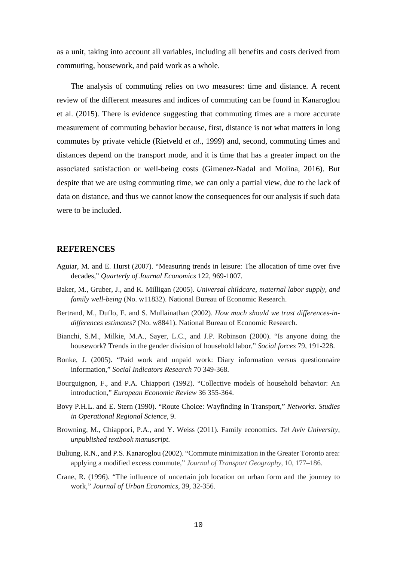as a unit, taking into account all variables, including all benefits and costs derived from commuting, housework, and paid work as a whole.

The analysis of commuting relies on two measures: time and distance. A recent review of the different measures and indices of commuting can be found in Kanaroglou et al. (2015). There is evidence suggesting that commuting times are a more accurate measurement of commuting behavior because, first, distance is not what matters in long commutes by private vehicle (Rietveld *et al.*, 1999) and, second, commuting times and distances depend on the transport mode, and it is time that has a greater impact on the associated satisfaction or well-being costs (Gimenez-Nadal and Molina, 2016). But despite that we are using commuting time, we can only a partial view, due to the lack of data on distance, and thus we cannot know the consequences for our analysis if such data were to be included.

#### **REFERENCES**

- Aguiar, M. and E. Hurst (2007). "Measuring trends in leisure: The allocation of time over five decades," *Quarterly of Journal Economics* 122, 969-1007.
- Baker, M., Gruber, J., and K. Milligan (2005). *Universal childcare, maternal labor supply, and family well-being* (No. w11832). National Bureau of Economic Research.
- Bertrand, M., Duflo, E. and S. Mullainathan (2002). *How much should we trust differences-indifferences estimates?* (No. w8841). National Bureau of Economic Research.
- Bianchi, S.M., Milkie, M.A., Sayer, L.C., and J.P. Robinson (2000). "Is anyone doing the housework? Trends in the gender division of household labor," *Social forces* 79, 191-228.
- Bonke, J. (2005). "Paid work and unpaid work: Diary information versus questionnaire information," *Social Indicators Research* 70 349-368.
- Bourguignon, F., and P.A. Chiappori (1992). "Collective models of household behavior: An introduction," *European Economic Review* 36 355-364.
- Bovy P.H.L. and E. Stern (1990). "Route Choice: Wayfinding in Transport," *Networks. Studies in Operational Regional Science*, 9.
- Browning, M., Chiappori, P.A., and Y. Weiss (2011). Family economics. *Tel Aviv University, unpublished textbook manuscript*.
- Buliung, R.N., and P.S. Kanaroglou (2002). "Commute minimization in the Greater Toronto area: applying a modified excess commute," *Journal of Transport Geography*, 10, 177–186.
- Crane, R. (1996). "The influence of uncertain job location on urban form and the journey to work," *Journal of Urban Economics*, 39, 32-356.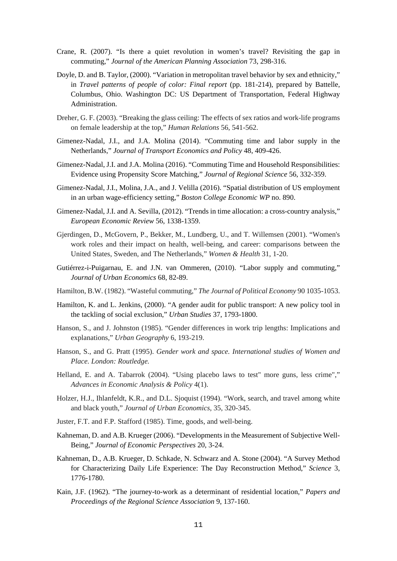- Crane, R. (2007). "Is there a quiet revolution in women's travel? Revisiting the gap in commuting," *Journal of the American Planning Association* 73, 298-316.
- Doyle, D. and B. Taylor, (2000). "Variation in metropolitan travel behavior by sex and ethnicity," in *Travel patterns of people of color: Final report* (pp. 181-214), prepared by Battelle, Columbus, Ohio. Washington DC: US Department of Transportation, Federal Highway Administration.
- Dreher, G. F. (2003). "Breaking the glass ceiling: The effects of sex ratios and work-life programs on female leadership at the top," *Human Relations* 56, 541-562.
- Gimenez-Nadal, J.I., and J.A. Molina (2014). "Commuting time and labor supply in the Netherlands," *Journal of Transport Economics and Policy* 48, 409-426.
- Gimenez-Nadal, J.I. and J.A. Molina (2016). "Commuting Time and Household Responsibilities: Evidence using Propensity Score Matching," *Journal of Regional Science* 56, 332-359.
- Gimenez-Nadal, J.I., Molina, J.A., and J. Velilla (2016). "Spatial distribution of US employment in an urban wage-efficiency setting," *Boston College Economic WP* no. 890.
- Gimenez-Nadal, J.I. and A. Sevilla, (2012). "Trends in time allocation: a cross-country analysis," *European Economic Review* 56, 1338-1359.
- Gjerdingen, D., McGovern, P., Bekker, M., Lundberg, U., and T. Willemsen (2001). "Women's work roles and their impact on health, well-being, and career: comparisons between the United States, Sweden, and The Netherlands," *Women & Health* 31, 1-20.
- Gutiérrez-i-Puigarnau, E. and J.N. van Ommeren, (2010). "Labor supply and commuting," *Journal of Urban Economics* 68, 82-89.
- Hamilton, B.W. (1982). "Wasteful commuting," *The Journal of Political Economy* 90 1035-1053.
- Hamilton, K. and L. Jenkins, (2000). "A gender audit for public transport: A new policy tool in the tackling of social exclusion," *Urban Studies* 37, 1793-1800.
- Hanson, S., and J. Johnston (1985). "Gender differences in work trip lengths: Implications and explanations," *Urban Geography* 6, 193-219.
- Hanson, S., and G. Pratt (1995). *Gender work and space. International studies of Women and Place. London: Routledge.*
- Helland, E. and A. Tabarrok (2004). "Using placebo laws to test" more guns, less crime"," *Advances in Economic Analysis & Policy* 4(1).
- Holzer, H.J., Ihlanfeldt, K.R., and D.L. Sjoquist (1994). "Work, search, and travel among white and black youth," *Journal of Urban Economics*, 35, 320-345.
- Juster, F.T. and F.P. Stafford (1985). Time, goods, and well-being.
- Kahneman, D. and A.B. Krueger (2006). "Developments in the Measurement of Subjective Well-Being," *Journal of Economic Perspectives* 20, 3-24.
- Kahneman, D., A.B. Krueger, D. Schkade, N. Schwarz and A. Stone (2004). "A Survey Method for Characterizing Daily Life Experience: The Day Reconstruction Method," *Science* 3, 1776-1780.
- Kain, J.F. (1962). "The journey-to-work as a determinant of residential location," *Papers and Proceedings of the Regional Science Association* 9, 137-160.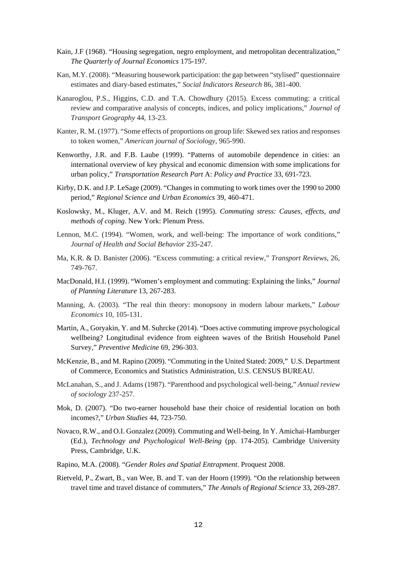- Kain, J.F (1968). "Housing segregation, negro employment, and metropolitan decentralization," *The Quarterly of Journal Economics* 175-197.
- Kan, M.Y. (2008). "Measuring housework participation: the gap between "stylised" questionnaire estimates and diary-based estimates," *Social Indicators Research* 86, 381-400.
- Kanaroglou, P.S., Higgins, C.D. and T.A. Chowdhury (2015). Excess commuting: a critical review and comparative analysis of concepts, indices, and policy implications," *Journal of Transport Geography* 44, 13-23.
- Kanter, R. M. (1977). "Some effects of proportions on group life: Skewed sex ratios and responses to token women," *American journal of Sociology*, 965-990.
- Kenworthy, J.R. and F.B. Laube (1999). "Patterns of automobile dependence in cities: an international overview of key physical and economic dimension with some implications for urban policy," *Transportation Research Part* A: *Policy and Practice* 33, 691-723.
- Kirby, D.K. and J.P. LeSage (2009). "Changes in commuting to work times over the 1990 to 2000 period," *Regional Science and Urban Economics* 39, 460-471.
- Koslowsky, M., Kluger, A.V. and M. Reich (1995). *Commuting stress: Causes, effects, and methods of coping*. New York: Plenum Press.
- Lennon, M.C. (1994). "Women, work, and well-being: The importance of work conditions," *Journal of Health and Social Behavior* 235-247.
- Ma, K.R. & D. Banister (2006). "Excess commuting: a critical review," *Transport Reviews*, 26, 749-767.
- MacDonald, H.I. (1999). "Women's employment and commuting: Explaining the links," *Journal of Planning Literature* 13, 267-283.
- Manning, A. (2003). "The real thin theory: monopsony in modern labour markets," *Labour Economics* 10, 105-131.
- Martin, A., Goryakin, Y. and M. Suhrcke (2014). "Does active commuting improve psychological wellbeing? Longitudinal evidence from eighteen waves of the British Household Panel Survey," *Preventive Medicine* 69, 296-303.
- McKenzie, B., and M. Rapino (2009). "Commuting in the United Stated: 2009," U.S. Department of Commerce, Economics and Statistics Administration, U.S. CENSUS BUREAU.
- McLanahan, S., and J. Adams (1987). "Parenthood and psychological well-being," *Annual review of sociology* 237-257.
- Mok, D. (2007). "Do two-earner household base their choice of residential location on both incomes?," *Urban Studies* 44, 723-750.
- Novaco, R.W., and O.I. Gonzalez (2009). Commuting and Well-being. In Y. Amichai-Hamburger (Ed.), *Technology and Psychological Well-Being* (pp. 174-205). Cambridge University Press, Cambridge, U.K.
- Rapino, M.A. (2008). "*Gender Roles and Spatial Entrapment*. Proquest 2008.
- Rietveld, P., Zwart, B., van Wee, B. and T. van der Hoorn (1999). "On the relationship between travel time and travel distance of commuters," *The Annals of Regional Science* 33, 269-287.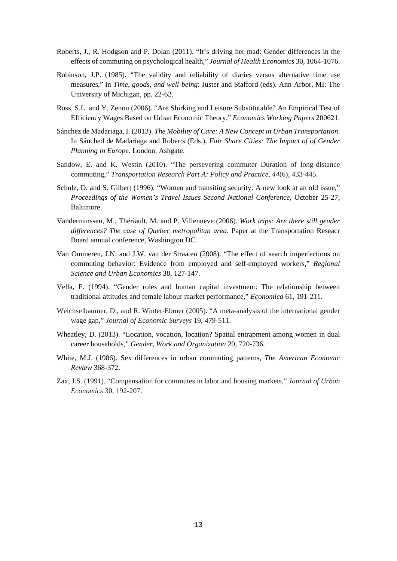- Roberts, J., R. Hodgson and P. Dolan (2011). "It's driving her mad: Gender differences in the effects of commuting on psychological health," *Journal of Health Economics* 30, 1064-1076.
- Robinson, J.P. (1985). "The validity and reliability of diaries versus alternative time use measures," in *Time, goods, and well-being*: Juster and Stafford (eds). Ann Arbor, MI: The University of Michigan, pp. 22-62.
- Ross, S.L. and Y. Zenou (2006). "Are Shirking and Leisure Substitutable? An Empirical Test of Efficiency Wages Based on Urban Economic Theory," *Economics Working Papers* 200621.
- Sánchez de Madariaga, I. (2013). *The Mobility of Care: A New Concept in Urban Transportation.*  In Sánched de Madariaga and Roberts (Eds.), *Fair Share Cities: The Impact of of Gender Planning in Europe.* London, Ashgate.
- Sandow, E. and K. Westin (2010). "The persevering commuter–Duration of long-distance commuting," *Transportation Research Part A: Policy and Practice*, *44*(6), 433-445.
- Schulz, D. and S. Gilbert (1996). "Women and transiting security: A new look at an old issue," *Proceedings of the Women's Travel Issues Second National Conference*, October 25-27, Baltimore.
- Vanderminssen, M., Thériault, M. and P. Villenueve (2006). *Work trips: Are there still gender differences? The case of Quebec metropolitan area*. Paper at the Transportation Reseacr Board annual conference, Washington DC.
- Van Ommeren, J.N. and J.W. van der Straaten (2008). "The effect of search imperfections on commuting behavior: Evidence from employed and self-employed workers," *Regional Science and Urban Economics* 38, 127-147.
- Vella, F. (1994). "Gender roles and human capital investment: The relationship between traditional attitudes and female labour market performance," *Economica* 61, 191-211.
- Weichselbaumer, D., and R. Winter-Ebmer (2005). "A meta-analysis of the international gender wage gap," *Journal of Economic Surveys* 19, 479-511.
- Wheatley, D. (2013). "Location, vocation, location? Spatial entrapment among women in dual career households," *Gender, Work and Organization* 20, 720-736.
- White, M.J. (1986). Sex differences in urban commuting patterns, *The American Economic Review* 368-372.
- Zax, J.S. (1991). "Compensation for commutes in labor and housing markets," *Journal of Urban Economics* 30, 192-207.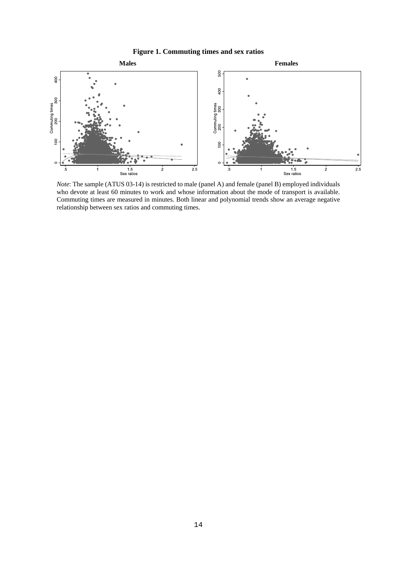



*Note*: The sample (ATUS 03-14) is restricted to male (panel A) and female (panel B) employed individuals who devote at least 60 minutes to work and whose information about the mode of transport is available. Commuting times are measured in minutes. Both linear and polynomial trends show an average negative relationship between sex ratios and commuting times.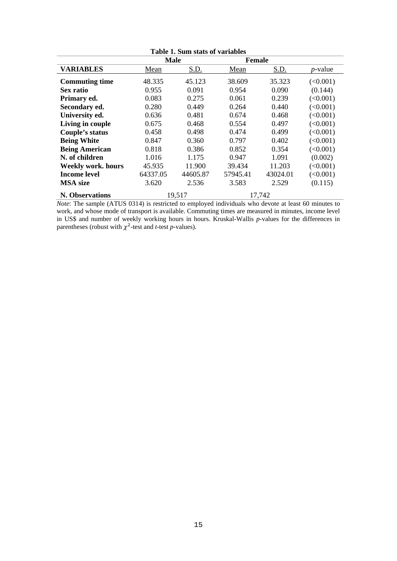| Table 1. Sum stats of variables |             |             |               |             |            |  |
|---------------------------------|-------------|-------------|---------------|-------------|------------|--|
|                                 | <b>Male</b> |             | <b>Female</b> |             |            |  |
| <b>VARIABLES</b>                | Mean        | <u>S.D.</u> | Mean          | <u>S.D.</u> | $p$ -value |  |
| <b>Commuting time</b>           | 48.335      | 45.123      | 38.609        | 35.323      | (<0.001)   |  |
| Sex ratio                       | 0.955       | 0.091       | 0.954         | 0.090       | (0.144)    |  |
| Primary ed.                     | 0.083       | 0.275       | 0.061         | 0.239       | (<0.001)   |  |
| Secondary ed.                   | 0.280       | 0.449       | 0.264         | 0.440       | (<0.001)   |  |
| University ed.                  | 0.636       | 0.481       | 0.674         | 0.468       | (<0.001)   |  |
| Living in couple                | 0.675       | 0.468       | 0.554         | 0.497       | (<0.001)   |  |
| Couple's status                 | 0.458       | 0.498       | 0.474         | 0.499       | (<0.001)   |  |
| <b>Being White</b>              | 0.847       | 0.360       | 0.797         | 0.402       | (<0.001)   |  |
| <b>Being American</b>           | 0.818       | 0.386       | 0.852         | 0.354       | (<0.001)   |  |
| N. of children                  | 1.016       | 1.175       | 0.947         | 1.091       | (0.002)    |  |
| <b>Weekly work. hours</b>       | 45.935      | 11.900      | 39.434        | 11.203      | (<0.001)   |  |
| <b>Income level</b>             | 64337.05    | 44605.87    | 57945.41      | 43024.01    | (<0.001)   |  |
| <b>MSA</b> size                 | 3.620       | 2.536       | 3.583         | 2.529       | (0.115)    |  |
| N. Observations                 | 19,517      |             |               | 17,742      |            |  |

*Note*: The sample (ATUS 0314) is restricted to employed individuals who devote at least 60 minutes to work, and whose mode of transport is available. Commuting times are measured in minutes, income level in US\$ and number of weekly working hours in hours. Kruskal-Wallis *p*-values for the differences in parentheses (robust with  $\chi^2$ -test and *t*-test *p*-values).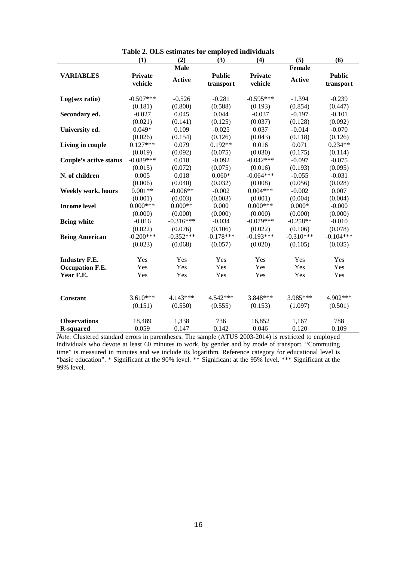|                               | (1)                | (2)           | radic 2. Old csumates for employed murviquals<br>(3) | (4)                       | (5)           | (6)                        |
|-------------------------------|--------------------|---------------|------------------------------------------------------|---------------------------|---------------|----------------------------|
|                               |                    | <b>Male</b>   |                                                      |                           | <b>Female</b> |                            |
| <b>VARIABLES</b>              | Private<br>vehicle | <b>Active</b> | <b>Public</b><br>transport                           | <b>Private</b><br>vehicle | <b>Active</b> | <b>Public</b><br>transport |
|                               |                    |               |                                                      |                           |               |                            |
| Log(sex ratio)                | $-0.507***$        | $-0.526$      | $-0.281$                                             | $-0.595***$               | $-1.394$      | $-0.239$                   |
|                               | (0.181)            | (0.800)       | (0.588)                                              | (0.193)                   | (0.854)       | (0.447)                    |
| Secondary ed.                 | $-0.027$           | 0.045         | 0.044                                                | $-0.037$                  | $-0.197$      | $-0.101$                   |
|                               | (0.021)            | (0.141)       | (0.125)                                              | (0.037)                   | (0.128)       | (0.092)                    |
| University ed.                | $0.049*$           | 0.109         | $-0.025$                                             | 0.037                     | $-0.014$      | $-0.070$                   |
|                               | (0.026)            | (0.154)       | (0.126)                                              | (0.043)                   | (0.118)       | (0.126)                    |
| Living in couple              | $0.127***$         | 0.079         | $0.192**$                                            | 0.016                     | 0.071         | $0.234**$                  |
|                               | (0.019)            | (0.092)       | (0.075)                                              | (0.030)                   | (0.175)       | (0.114)                    |
| <b>Couple's active status</b> | $-0.089***$        | 0.018         | $-0.092$                                             | $-0.042***$               | $-0.097$      | $-0.075$                   |
|                               | (0.015)            | (0.072)       | (0.075)                                              | (0.016)                   | (0.193)       | (0.095)                    |
| N. of children                | 0.005              | 0.018         | $0.060*$                                             | $-0.064***$               | $-0.055$      | $-0.031$                   |
|                               | (0.006)            | (0.040)       | (0.032)                                              | (0.008)                   | (0.056)       | (0.028)                    |
| <b>Weekly work. hours</b>     | $0.001**$          | $-0.006**$    | $-0.002$                                             | $0.004***$                | $-0.002$      | 0.007                      |
|                               | (0.001)            | (0.003)       | (0.003)                                              | (0.001)                   | (0.004)       | (0.004)                    |
| <b>Income level</b>           | $0.000***$         | $0.000**$     | 0.000                                                | $0.000***$                | $0.000*$      | $-0.000$                   |
|                               | (0.000)            | (0.000)       | (0.000)                                              | (0.000)                   | (0.000)       | (0.000)                    |
| <b>Being white</b>            | $-0.016$           | $-0.316***$   | $-0.034$                                             | $-0.079***$               | $-0.258**$    | $-0.010$                   |
|                               | (0.022)            | (0.076)       | (0.106)                                              | (0.022)                   | (0.106)       | (0.078)                    |
| <b>Being American</b>         | $-0.200***$        | $-0.352***$   | $-0.178***$                                          | $-0.193***$               | $-0.310***$   | $-0.104***$                |
|                               | (0.023)            | (0.068)       | (0.057)                                              | (0.020)                   | (0.105)       | (0.035)                    |
| <b>Industry F.E.</b>          | Yes                | Yes           | Yes                                                  | Yes                       | Yes           | Yes                        |
| Occupation F.E.               | Yes                | Yes           | Yes                                                  | Yes                       | Yes           | Yes                        |
| Year F.E.                     | Yes                | Yes           | Yes                                                  | Yes                       | Yes           | Yes                        |
|                               |                    |               |                                                      |                           |               |                            |
| <b>Constant</b>               | $3.610***$         | 4.143***      | 4.542 ***                                            | 3.848***                  | 3.985***      | 4.902***                   |
|                               | (0.151)            | (0.550)       | (0.555)                                              | (0.153)                   | (1.097)       | (0.501)                    |
| <b>Observations</b>           | 18,489             | 1,338         | 736                                                  | 16,852                    | 1,167         | 788                        |
| <b>R-squared</b>              | 0.059              | 0.147         | 0.142                                                | 0.046                     | 0.120         | 0.109                      |

**Table 2. OLS estimates for employed individuals**

*Note*: Clustered standard errors in parentheses. The sample (ATUS 2003-2014) is restricted to employed individuals who devote at least 60 minutes to work, by gender and by mode of transport. "Commuting time" is measured in minutes and we include its logarithm. Reference category for educational level is "basic education". \* Significant at the 90% level. \*\* Significant at the 95% level. \*\*\* Significant at the 99% level.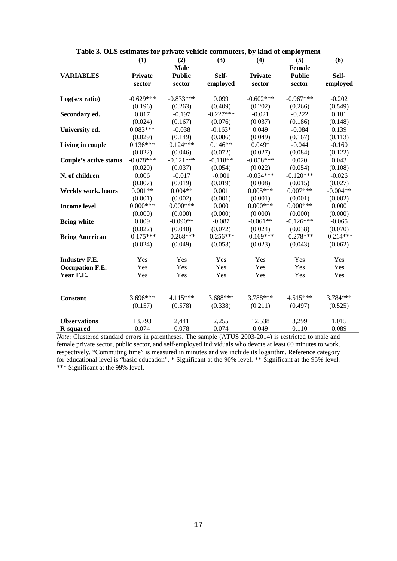| radic 9. Old csimiates for private veniere commuters, by King of employment | (1)            | (2)           | (3)         | (4)            | (5)           | (6)         |
|-----------------------------------------------------------------------------|----------------|---------------|-------------|----------------|---------------|-------------|
|                                                                             |                | <b>Male</b>   |             |                | Female        |             |
| <b>VARIABLES</b>                                                            | <b>Private</b> | <b>Public</b> | Self-       | <b>Private</b> | <b>Public</b> | Self-       |
|                                                                             | sector         | sector        | employed    | sector         | sector        | employed    |
|                                                                             |                |               |             |                |               |             |
| Log(sex ratio)                                                              | $-0.629***$    | $-0.833***$   | 0.099       | $-0.602***$    | $-0.967***$   | $-0.202$    |
|                                                                             | (0.196)        | (0.263)       | (0.409)     | (0.202)        | (0.266)       | (0.549)     |
| Secondary ed.                                                               | 0.017          | $-0.197$      | $-0.227***$ | $-0.021$       | $-0.222$      | 0.181       |
|                                                                             | (0.024)        | (0.167)       | (0.076)     | (0.037)        | (0.186)       | (0.148)     |
| University ed.                                                              | $0.083***$     | $-0.038$      | $-0.163*$   | 0.049          | $-0.084$      | 0.139       |
|                                                                             | (0.029)        | (0.149)       | (0.086)     | (0.049)        | (0.167)       | (0.113)     |
| Living in couple                                                            | $0.136***$     | $0.124***$    | $0.146**$   | $0.049*$       | $-0.044$      | $-0.160$    |
|                                                                             | (0.022)        | (0.046)       | (0.072)     | (0.027)        | (0.084)       | (0.122)     |
| <b>Couple's active status</b>                                               | $-0.078***$    | $-0.121***$   | $-0.118**$  | $-0.058***$    | 0.020         | 0.043       |
|                                                                             | (0.020)        | (0.037)       | (0.054)     | (0.022)        | (0.054)       | (0.108)     |
| N. of children                                                              | 0.006          | $-0.017$      | $-0.001$    | $-0.054***$    | $-0.120***$   | $-0.026$    |
|                                                                             | (0.007)        | (0.019)       | (0.019)     | (0.008)        | (0.015)       | (0.027)     |
| <b>Weekly work. hours</b>                                                   | $0.001**$      | $0.004**$     | 0.001       | $0.005***$     | $0.007***$    | $-0.004**$  |
|                                                                             | (0.001)        | (0.002)       | (0.001)     | (0.001)        | (0.001)       | (0.002)     |
| <b>Income level</b>                                                         | $0.000***$     | $0.000***$    | 0.000       | $0.000***$     | $0.000***$    | 0.000       |
|                                                                             | (0.000)        | (0.000)       | (0.000)     | (0.000)        | (0.000)       | (0.000)     |
| <b>Being white</b>                                                          | 0.009          | $-0.090**$    | $-0.087$    | $-0.061**$     | $-0.126***$   | $-0.065$    |
|                                                                             | (0.022)        | (0.040)       | (0.072)     | (0.024)        | (0.038)       | (0.070)     |
| <b>Being American</b>                                                       | $-0.175***$    | $-0.268***$   | $-0.256***$ | $-0.169***$    | $-0.278***$   | $-0.214***$ |
|                                                                             | (0.024)        | (0.049)       | (0.053)     | (0.023)        | (0.043)       | (0.062)     |
| <b>Industry F.E.</b>                                                        | Yes            | Yes           | Yes         | Yes            | Yes           | Yes         |
| <b>Occupation F.E.</b>                                                      | Yes            | Yes           | Yes         | Yes            | Yes           | Yes         |
| Year F.E.                                                                   | Yes            | Yes           | Yes         | Yes            | Yes           | Yes         |
|                                                                             |                |               |             |                |               |             |
| Constant                                                                    | 3.696***       | 4.115***      | 3.688***    | 3.788***       | 4.515***      | 3.784***    |
|                                                                             | (0.157)        | (0.578)       | (0.338)     | (0.211)        | (0.497)       | (0.525)     |
| <b>Observations</b>                                                         | 13,793         | 2,441         | 2,255       | 12,538         | 3,299         | 1,015       |
| <b>R-squared</b>                                                            | 0.074          | 0.078         | 0.074       | 0.049          | 0.110         | 0.089       |

*Note*: Clustered standard errors in parentheses. The sample (ATUS 2003-2014) is restricted to male and female private sector, public sector, and self-employed individuals who devote at least 60 minutes to work, respectively. "Commuting time" is measured in minutes and we include its logarithm. Reference category for educational level is "basic education". \* Significant at the 90% level. \*\* Significant at the 95% level. \*\*\* Significant at the 99% level.